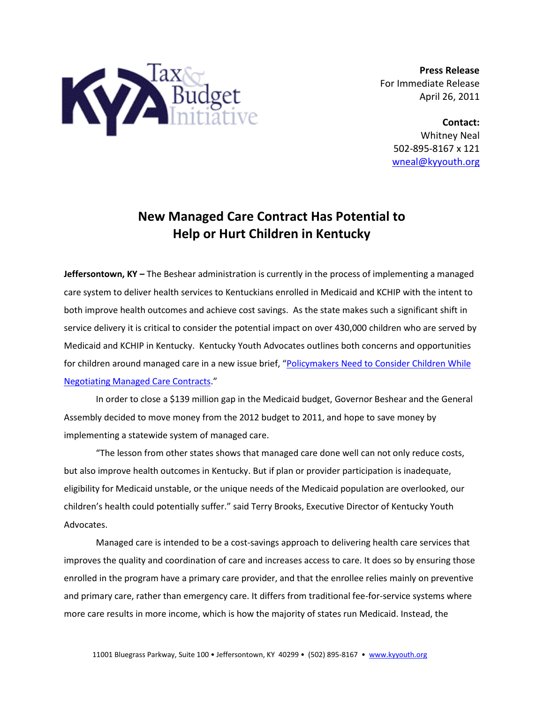

**Press Release** For Immediate Release April 26, 2011

> **Contact:** Whitney Neal 502-895-8167 x 121 [wneal@kyyouth.org](mailto:wneal@kyyouth.org)

## **New Managed Care Contract Has Potential to Help or Hurt Children in Kentucky**

**Jeffersontown, KY –** The Beshear administration is currently in the process of implementing a managed care system to deliver health services to Kentuckians enrolled in Medicaid and KCHIP with the intent to both improve health outcomes and achieve cost savings. As the state makes such a significant shift in service delivery it is critical to consider the potential impact on over 430,000 children who are served by Medicaid and KCHIP in Kentucky. Kentucky Youth Advocates outlines both concerns and opportunities for children around managed care in a new issue brief, "[Policymakers Need to Consider Children While](http://www.kyyouth.org/documents/11pubManagedCareGuide.pdf)  [Negotiating Managed Care Contracts](http://www.kyyouth.org/documents/11pubManagedCareGuide.pdf)."

In order to close a \$139 million gap in the Medicaid budget, Governor Beshear and the General Assembly decided to move money from the 2012 budget to 2011, and hope to save money by implementing a statewide system of managed care.

"The lesson from other states shows that managed care done well can not only reduce costs, but also improve health outcomes in Kentucky. But if plan or provider participation is inadequate, eligibility for Medicaid unstable, or the unique needs of the Medicaid population are overlooked, our children's health could potentially suffer." said Terry Brooks, Executive Director of Kentucky Youth Advocates.

Managed care is intended to be a cost-savings approach to delivering health care services that improves the quality and coordination of care and increases access to care. It does so by ensuring those enrolled in the program have a primary care provider, and that the enrollee relies mainly on preventive and primary care, rather than emergency care. It differs from traditional fee-for-service systems where more care results in more income, which is how the majority of states run Medicaid. Instead, the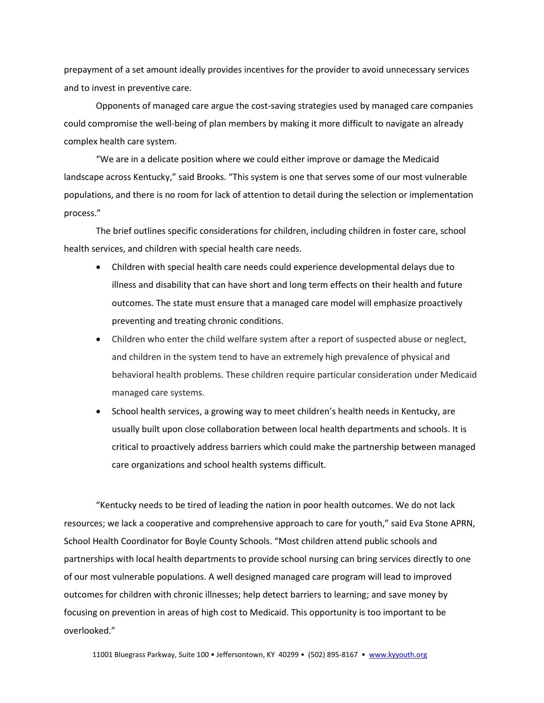prepayment of a set amount ideally provides incentives for the provider to avoid unnecessary services and to invest in preventive care.

Opponents of managed care argue the cost-saving strategies used by managed care companies could compromise the well-being of plan members by making it more difficult to navigate an already complex health care system.

"We are in a delicate position where we could either improve or damage the Medicaid landscape across Kentucky," said Brooks. "This system is one that serves some of our most vulnerable populations, and there is no room for lack of attention to detail during the selection or implementation process."

The brief outlines specific considerations for children, including children in foster care, school health services, and children with special health care needs.

- Children with special health care needs could experience developmental delays due to illness and disability that can have short and long term effects on their health and future outcomes. The state must ensure that a managed care model will emphasize proactively preventing and treating chronic conditions.
- Children who enter the child welfare system after a report of suspected abuse or neglect, and children in the system tend to have an extremely high prevalence of physical and behavioral health problems. These children require particular consideration under Medicaid managed care systems.
- School health services, a growing way to meet children's health needs in Kentucky, are usually built upon close collaboration between local health departments and schools. It is critical to proactively address barriers which could make the partnership between managed care organizations and school health systems difficult.

"Kentucky needs to be tired of leading the nation in poor health outcomes. We do not lack resources; we lack a cooperative and comprehensive approach to care for youth," said Eva Stone APRN, School Health Coordinator for Boyle County Schools. "Most children attend public schools and partnerships with local health departments to provide school nursing can bring services directly to one of our most vulnerable populations. A well designed managed care program will lead to improved outcomes for children with chronic illnesses; help detect barriers to learning; and save money by focusing on prevention in areas of high cost to Medicaid. This opportunity is too important to be overlooked."